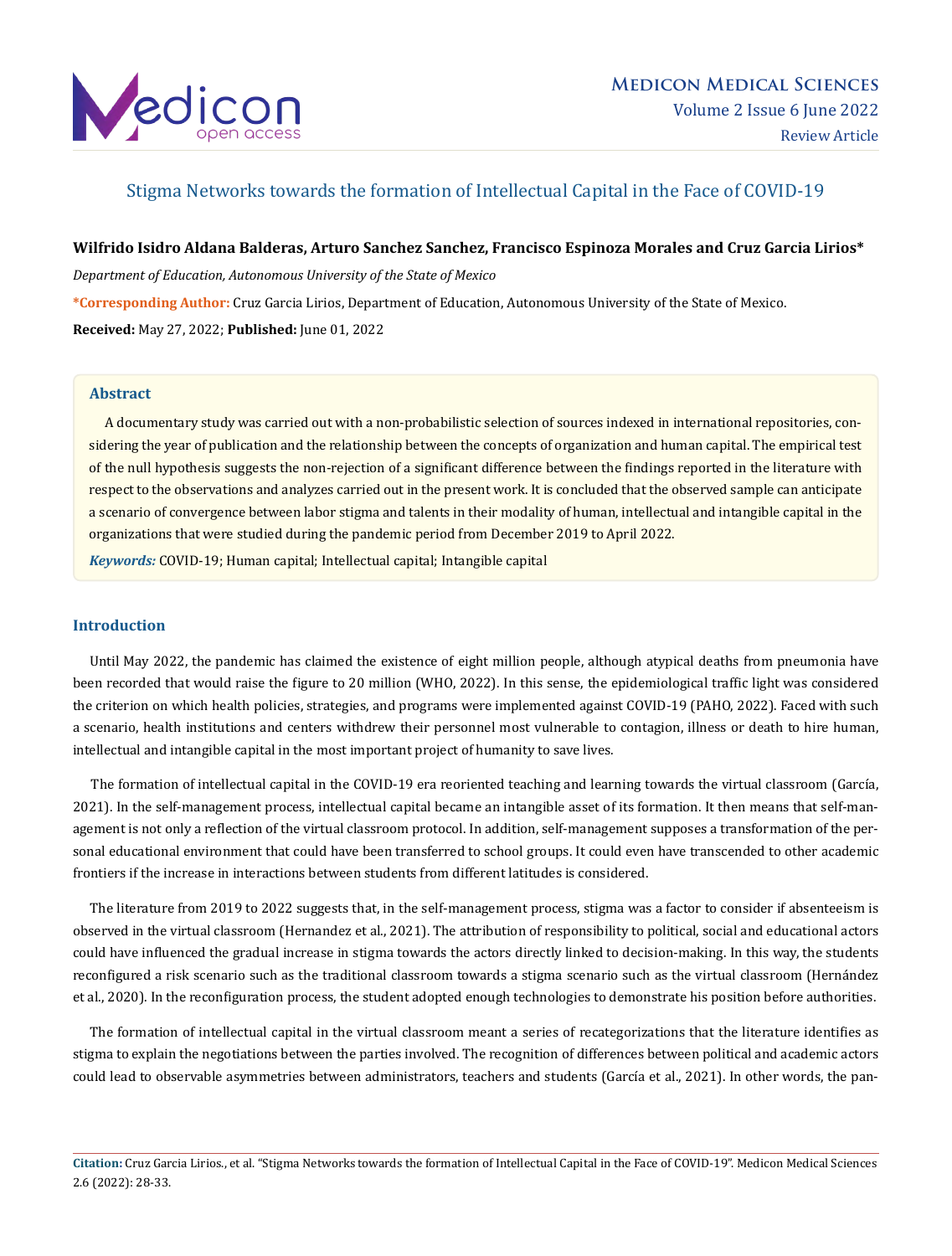

# Stigma Networks towards the formation of Intellectual Capital in the Face of COVID-19

# **Wilfrido Isidro Aldana Balderas, Arturo Sanchez Sanchez, Francisco Espinoza Morales and Cruz Garcia Lirios\***

*Department of Education, Autonomous University of the State of Mexico*

**\*Corresponding Author:** Cruz Garcia Lirios, Department of Education, Autonomous University of the State of Mexico.

**Received:** May 27, 2022; **Published:** June 01, 2022

# **Abstract**

 A documentary study was carried out with a non-probabilistic selection of sources indexed in international repositories, considering the year of publication and the relationship between the concepts of organization and human capital. The empirical test of the null hypothesis suggests the non-rejection of a significant difference between the findings reported in the literature with respect to the observations and analyzes carried out in the present work. It is concluded that the observed sample can anticipate a scenario of convergence between labor stigma and talents in their modality of human, intellectual and intangible capital in the organizations that were studied during the pandemic period from December 2019 to April 2022.

*Keywords:* COVID-19; Human capital; Intellectual capital; Intangible capital

## **Introduction**

 Until May 2022, the pandemic has claimed the existence of eight million people, although atypical deaths from pneumonia have been recorded that would raise the figure to 20 million (WHO, 2022). In this sense, the epidemiological traffic light was considered the criterion on which health policies, strategies, and programs were implemented against COVID-19 (PAHO, 2022). Faced with such a scenario, health institutions and centers withdrew their personnel most vulnerable to contagion, illness or death to hire human, intellectual and intangible capital in the most important project of humanity to save lives.

 The formation of intellectual capital in the COVID-19 era reoriented teaching and learning towards the virtual classroom (García, 2021). In the self-management process, intellectual capital became an intangible asset of its formation. It then means that self-management is not only a reflection of the virtual classroom protocol. In addition, self-management supposes a transformation of the personal educational environment that could have been transferred to school groups. It could even have transcended to other academic frontiers if the increase in interactions between students from different latitudes is considered.

 The literature from 2019 to 2022 suggests that, in the self-management process, stigma was a factor to consider if absenteeism is observed in the virtual classroom (Hernandez et al., 2021). The attribution of responsibility to political, social and educational actors could have influenced the gradual increase in stigma towards the actors directly linked to decision-making. In this way, the students reconfigured a risk scenario such as the traditional classroom towards a stigma scenario such as the virtual classroom (Hernández et al., 2020). In the reconfiguration process, the student adopted enough technologies to demonstrate his position before authorities.

 The formation of intellectual capital in the virtual classroom meant a series of recategorizations that the literature identifies as stigma to explain the negotiations between the parties involved. The recognition of differences between political and academic actors could lead to observable asymmetries between administrators, teachers and students (García et al., 2021). In other words, the pan-

**Citation:** Cruz Garcia Lirios., et al. "Stigma Networks towards the formation of Intellectual Capital in the Face of COVID-19". Medicon Medical Sciences 2.6 (2022): 28-33.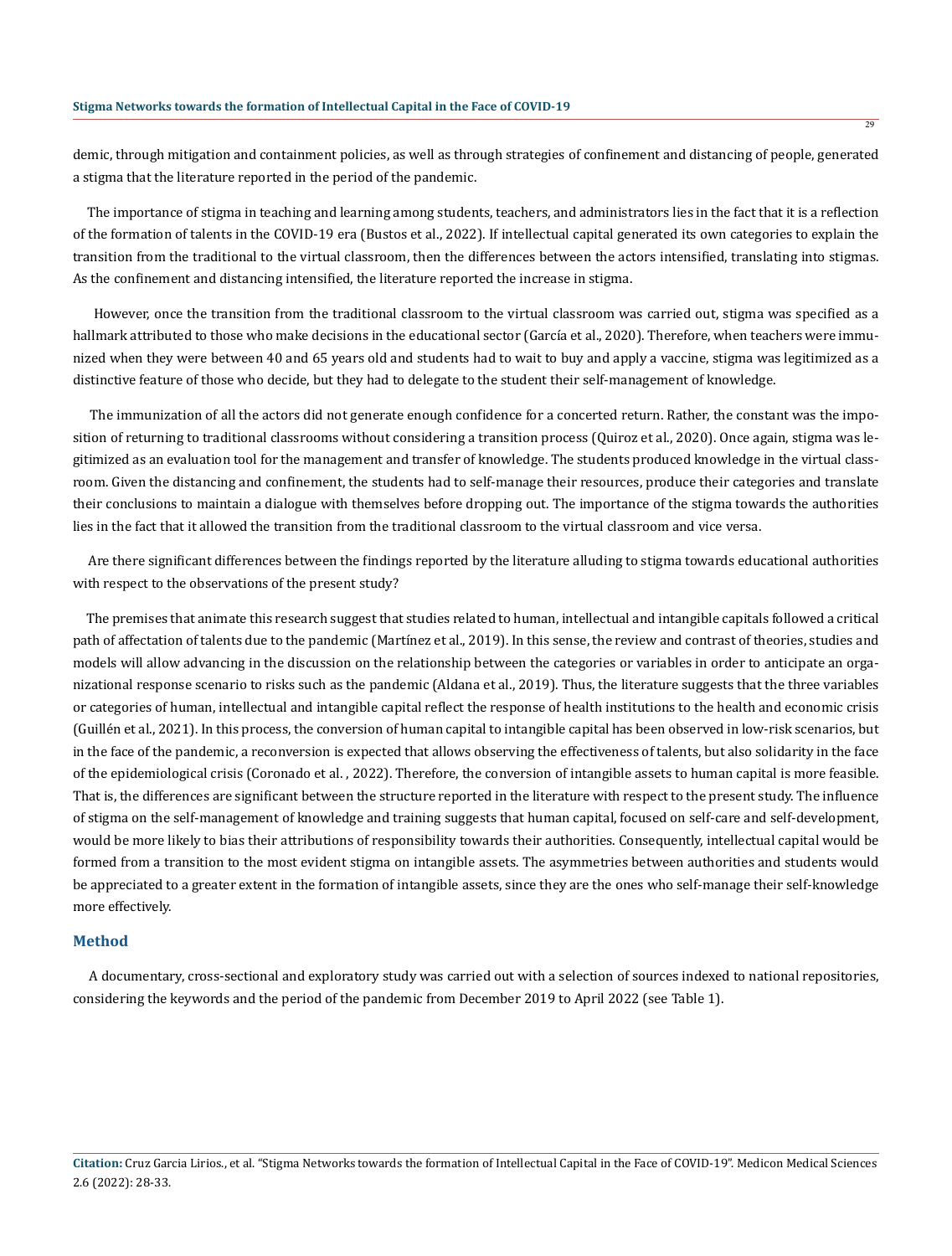demic, through mitigation and containment policies, as well as through strategies of confinement and distancing of people, generated a stigma that the literature reported in the period of the pandemic.

 The importance of stigma in teaching and learning among students, teachers, and administrators lies in the fact that it is a reflection of the formation of talents in the COVID-19 era (Bustos et al., 2022). If intellectual capital generated its own categories to explain the transition from the traditional to the virtual classroom, then the differences between the actors intensified, translating into stigmas. As the confinement and distancing intensified, the literature reported the increase in stigma.

 However, once the transition from the traditional classroom to the virtual classroom was carried out, stigma was specified as a hallmark attributed to those who make decisions in the educational sector (García et al., 2020). Therefore, when teachers were immunized when they were between 40 and 65 years old and students had to wait to buy and apply a vaccine, stigma was legitimized as a distinctive feature of those who decide, but they had to delegate to the student their self-management of knowledge.

 The immunization of all the actors did not generate enough confidence for a concerted return. Rather, the constant was the imposition of returning to traditional classrooms without considering a transition process (Quiroz et al., 2020). Once again, stigma was legitimized as an evaluation tool for the management and transfer of knowledge. The students produced knowledge in the virtual classroom. Given the distancing and confinement, the students had to self-manage their resources, produce their categories and translate their conclusions to maintain a dialogue with themselves before dropping out. The importance of the stigma towards the authorities lies in the fact that it allowed the transition from the traditional classroom to the virtual classroom and vice versa.

 Are there significant differences between the findings reported by the literature alluding to stigma towards educational authorities with respect to the observations of the present study?

 The premises that animate this research suggest that studies related to human, intellectual and intangible capitals followed a critical path of affectation of talents due to the pandemic (Martínez et al., 2019). In this sense, the review and contrast of theories, studies and models will allow advancing in the discussion on the relationship between the categories or variables in order to anticipate an organizational response scenario to risks such as the pandemic (Aldana et al., 2019). Thus, the literature suggests that the three variables or categories of human, intellectual and intangible capital reflect the response of health institutions to the health and economic crisis (Guillén et al., 2021). In this process, the conversion of human capital to intangible capital has been observed in low-risk scenarios, but in the face of the pandemic, a reconversion is expected that allows observing the effectiveness of talents, but also solidarity in the face of the epidemiological crisis (Coronado et al. , 2022). Therefore, the conversion of intangible assets to human capital is more feasible. That is, the differences are significant between the structure reported in the literature with respect to the present study. The influence of stigma on the self-management of knowledge and training suggests that human capital, focused on self-care and self-development, would be more likely to bias their attributions of responsibility towards their authorities. Consequently, intellectual capital would be formed from a transition to the most evident stigma on intangible assets. The asymmetries between authorities and students would be appreciated to a greater extent in the formation of intangible assets, since they are the ones who self-manage their self-knowledge more effectively.

## **Method**

 A documentary, cross-sectional and exploratory study was carried out with a selection of sources indexed to national repositories, considering the keywords and the period of the pandemic from December 2019 to April 2022 (see Table 1).

**Citation:** Cruz Garcia Lirios., et al. "Stigma Networks towards the formation of Intellectual Capital in the Face of COVID-19". Medicon Medical Sciences 2.6 (2022): 28-33.

 $79$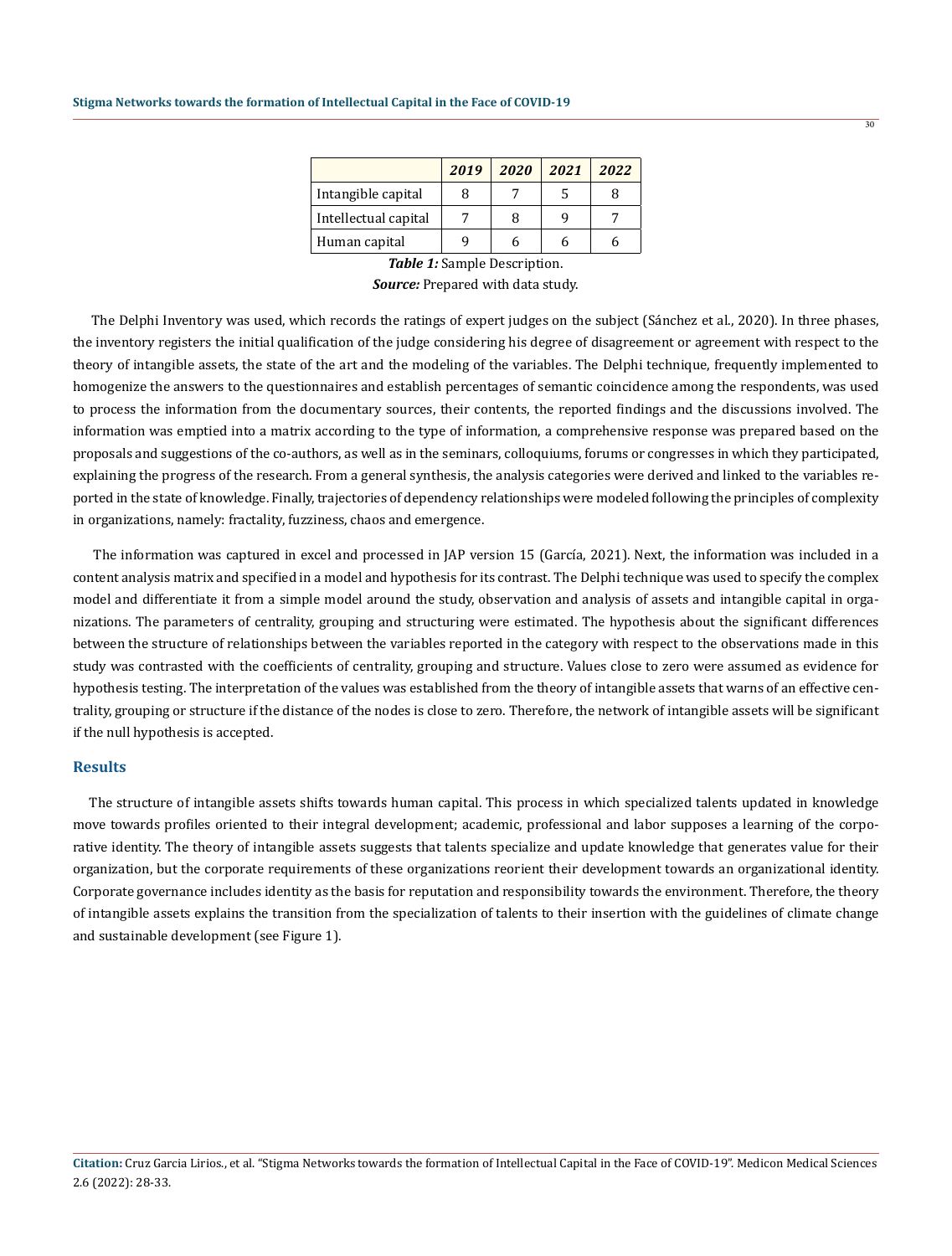|                      | 2019 | 2020 | 2021 | 2022 |
|----------------------|------|------|------|------|
| Intangible capital   | 8    |      |      |      |
| Intellectual capital |      | 8    | q    |      |
| Human capital        |      |      |      |      |

*Table 1:* Sample Description. *Source:* Prepared with data study.

 The Delphi Inventory was used, which records the ratings of expert judges on the subject (Sánchez et al., 2020). In three phases, the inventory registers the initial qualification of the judge considering his degree of disagreement or agreement with respect to the theory of intangible assets, the state of the art and the modeling of the variables. The Delphi technique, frequently implemented to homogenize the answers to the questionnaires and establish percentages of semantic coincidence among the respondents, was used to process the information from the documentary sources, their contents, the reported findings and the discussions involved. The information was emptied into a matrix according to the type of information, a comprehensive response was prepared based on the proposals and suggestions of the co-authors, as well as in the seminars, colloquiums, forums or congresses in which they participated, explaining the progress of the research. From a general synthesis, the analysis categories were derived and linked to the variables reported in the state of knowledge. Finally, trajectories of dependency relationships were modeled following the principles of complexity in organizations, namely: fractality, fuzziness, chaos and emergence.

 The information was captured in excel and processed in JAP version 15 (García, 2021). Next, the information was included in a content analysis matrix and specified in a model and hypothesis for its contrast. The Delphi technique was used to specify the complex model and differentiate it from a simple model around the study, observation and analysis of assets and intangible capital in organizations. The parameters of centrality, grouping and structuring were estimated. The hypothesis about the significant differences between the structure of relationships between the variables reported in the category with respect to the observations made in this study was contrasted with the coefficients of centrality, grouping and structure. Values close to zero were assumed as evidence for hypothesis testing. The interpretation of the values was established from the theory of intangible assets that warns of an effective centrality, grouping or structure if the distance of the nodes is close to zero. Therefore, the network of intangible assets will be significant if the null hypothesis is accepted.

## **Results**

 The structure of intangible assets shifts towards human capital. This process in which specialized talents updated in knowledge move towards profiles oriented to their integral development; academic, professional and labor supposes a learning of the corporative identity. The theory of intangible assets suggests that talents specialize and update knowledge that generates value for their organization, but the corporate requirements of these organizations reorient their development towards an organizational identity. Corporate governance includes identity as the basis for reputation and responsibility towards the environment. Therefore, the theory of intangible assets explains the transition from the specialization of talents to their insertion with the guidelines of climate change and sustainable development (see Figure 1).

 $\overline{30}$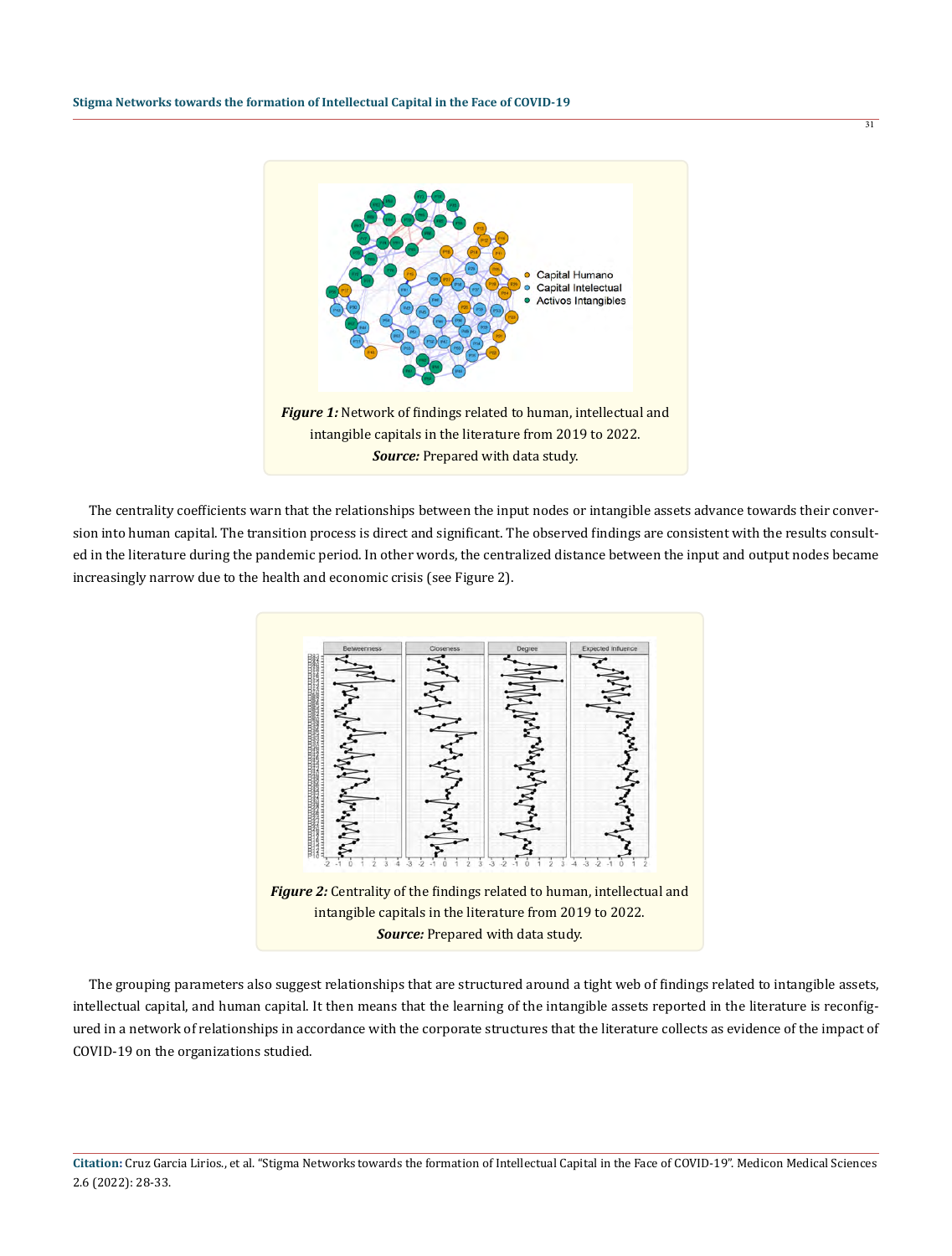

 The centrality coefficients warn that the relationships between the input nodes or intangible assets advance towards their conversion into human capital. The transition process is direct and significant. The observed findings are consistent with the results consulted in the literature during the pandemic period. In other words, the centralized distance between the input and output nodes became increasingly narrow due to the health and economic crisis (see Figure 2).



 The grouping parameters also suggest relationships that are structured around a tight web of findings related to intangible assets, intellectual capital, and human capital. It then means that the learning of the intangible assets reported in the literature is reconfigured in a network of relationships in accordance with the corporate structures that the literature collects as evidence of the impact of COVID-19 on the organizations studied.

**Citation:** Cruz Garcia Lirios., et al. "Stigma Networks towards the formation of Intellectual Capital in the Face of COVID-19". Medicon Medical Sciences 2.6 (2022): 28-33.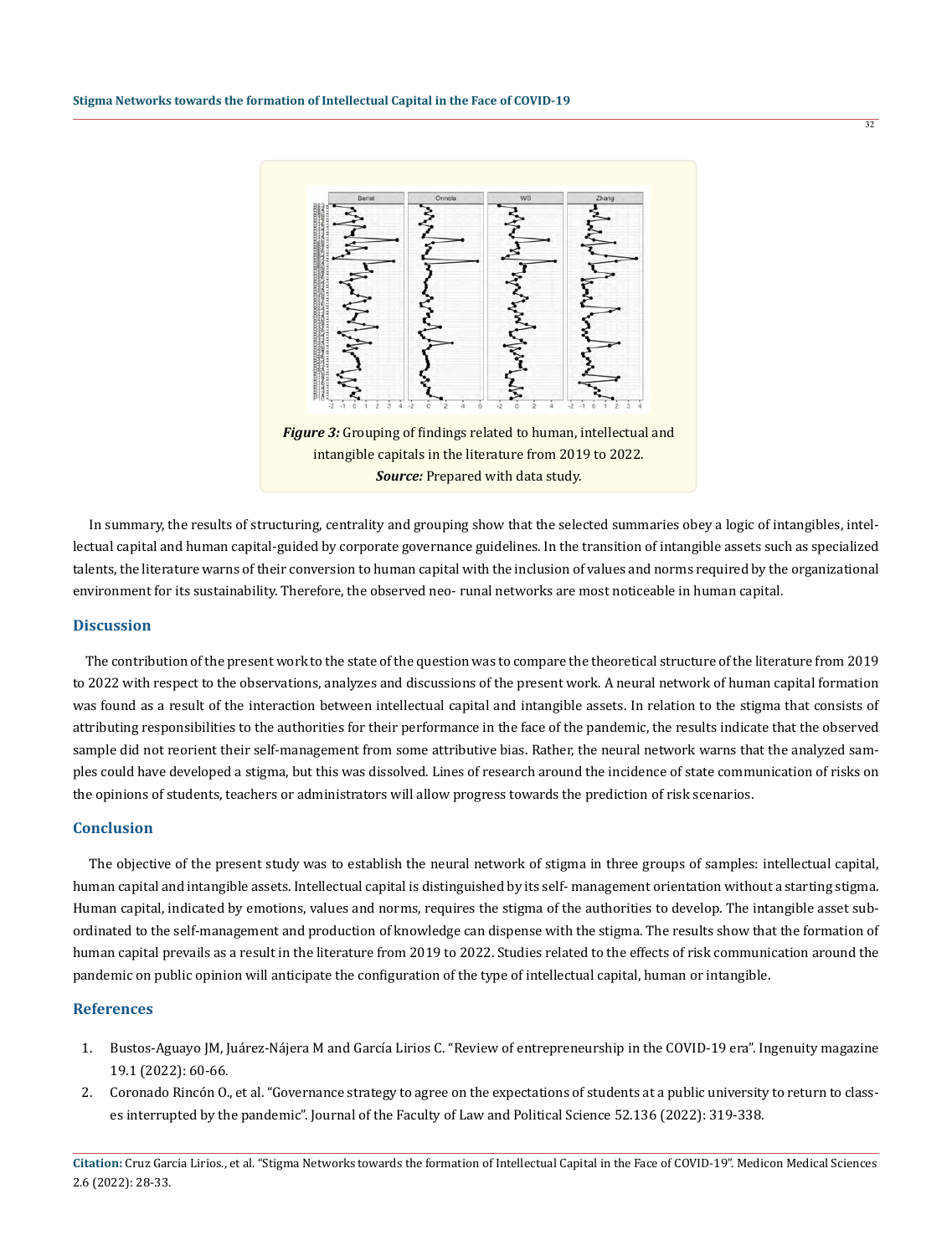

intangible capitals in the literature from 2019 to 2022. *Source:* Prepared with data study.

 In summary, the results of structuring, centrality and grouping show that the selected summaries obey a logic of intangibles, intellectual capital and human capital-guided by corporate governance guidelines. In the transition of intangible assets such as specialized talents, the literature warns of their conversion to human capital with the inclusion of values and norms required by the organizational environment for its sustainability. Therefore, the observed neo- runal networks are most noticeable in human capital.

#### **Discussion**

 The contribution of the present work to the state of the question was to compare the theoretical structure of the literature from 2019 to 2022 with respect to the observations, analyzes and discussions of the present work. A neural network of human capital formation was found as a result of the interaction between intellectual capital and intangible assets. In relation to the stigma that consists of attributing responsibilities to the authorities for their performance in the face of the pandemic, the results indicate that the observed sample did not reorient their self-management from some attributive bias. Rather, the neural network warns that the analyzed samples could have developed a stigma, but this was dissolved. Lines of research around the incidence of state communication of risks on the opinions of students, teachers or administrators will allow progress towards the prediction of risk scenarios.

### **Conclusion**

 The objective of the present study was to establish the neural network of stigma in three groups of samples: intellectual capital, human capital and intangible assets. Intellectual capital is distinguished by its self- management orientation without a starting stigma. Human capital, indicated by emotions, values and norms, requires the stigma of the authorities to develop. The intangible asset subordinated to the self-management and production of knowledge can dispense with the stigma. The results show that the formation of human capital prevails as a result in the literature from 2019 to 2022. Studies related to the effects of risk communication around the pandemic on public opinion will anticipate the configuration of the type of intellectual capital, human or intangible.

### **References**

- 1. Bustos-Aguayo JM, Juárez-Nájera M and García Lirios C. "Review of entrepreneurship in the COVID-19 era". Ingenuity magazine 19.1 (2022): 60-66.
- 2. Coronado Rincón O., et al. "Governance strategy to agree on the expectations of students at a public university to return to classes interrupted by the pandemic". Journal of the Faculty of Law and Political Science 52.136 (2022): 319-338.

**Citation:** Cruz Garcia Lirios., et al. "Stigma Networks towards the formation of Intellectual Capital in the Face of COVID-19". Medicon Medical Sciences 2.6 (2022): 28-33.

32